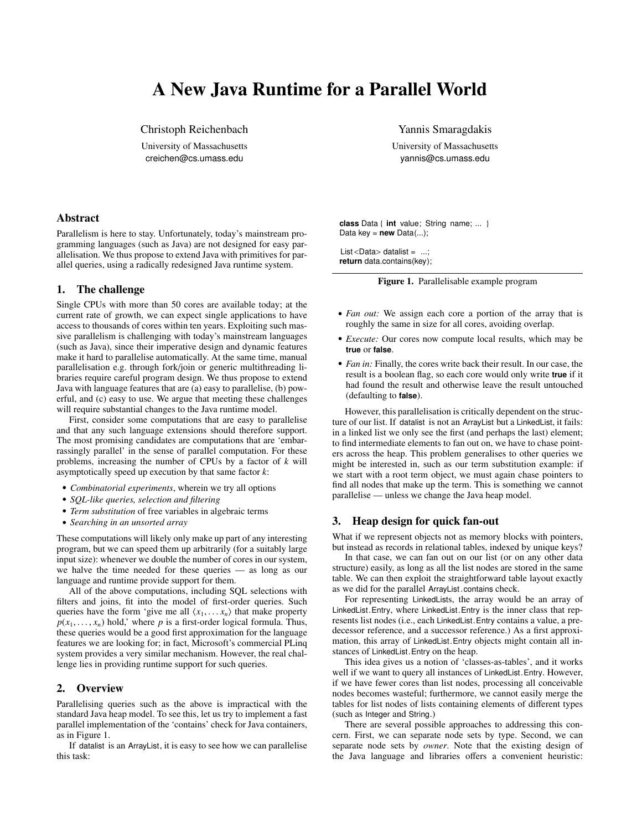# A New Java Runtime for a Parallel World

Christoph Reichenbach University of Massachusetts creichen@cs.umass.edu

Yannis Smaragdakis University of Massachusetts yannis@cs.umass.edu

# Abstract

Parallelism is here to stay. Unfortunately, today's mainstream programming languages (such as Java) are not designed for easy parallelisation. We thus propose to extend Java with primitives for parallel queries, using a radically redesigned Java runtime system.

## 1. The challenge

Single CPUs with more than 50 cores are available today; at the current rate of growth, we can expect single applications to have access to thousands of cores within ten years. Exploiting such massive parallelism is challenging with today's mainstream languages (such as Java), since their imperative design and dynamic features make it hard to parallelise automatically. At the same time, manual parallelisation e.g. through fork/join or generic multithreading libraries require careful program design. We thus propose to extend Java with language features that are (a) easy to parallelise, (b) powerful, and (c) easy to use. We argue that meeting these challenges will require substantial changes to the Java runtime model.

First, consider some computations that are easy to parallelise and that any such language extensions should therefore support. The most promising candidates are computations that are 'embarrassingly parallel' in the sense of parallel computation. For these problems, increasing the number of CPUs by a factor of *k* will asymptotically speed up execution by that same factor *k*:

- *Combinatorial experiments*, wherein we try all options
- *SQL-like queries, selection and filtering*
- *Term substitution* of free variables in algebraic terms
- *Searching in an unsorted array*

These computations will likely only make up part of any interesting program, but we can speed them up arbitrarily (for a suitably large input size): whenever we double the number of cores in our system, we halve the time needed for these queries — as long as our language and runtime provide support for them.

All of the above computations, including SQL selections with filters and joins, fit into the model of first-order queries. Such queries have the form 'give me all  $\langle x_1, \ldots, x_n \rangle$  that make property  $p(x_1, \ldots, x_n)$  hold,' where *p* is a first-order logical formula. Thus, these queries would be a good first approximation for the language features we are looking for; in fact, Microsoft's commercial PLinq system provides a very similar mechanism. However, the real challenge lies in providing runtime support for such queries.

### 2. Overview

Parallelising queries such as the above is impractical with the standard Java heap model. To see this, let us try to implement a fast parallel implementation of the 'contains' check for Java containers, as in Figure [1.](#page-0-0)

If datalist is an ArrayList, it is easy to see how we can parallelise this task:

**class** Data { **int** value; String name; ... } Data key =  $new$  Data $(...)$ ;

<span id="page-0-0"></span>List<Data> datalist =  $\dots$ ; **return** data.contains(key);

Figure 1. Parallelisable example program

- *Fan out:* We assign each core a portion of the array that is roughly the same in size for all cores, avoiding overlap.
- *Execute:* Our cores now compute local results, which may be **true** or **false**.
- *Fan in:* Finally, the cores write back their result. In our case, the result is a boolean flag, so each core would only write **true** if it had found the result and otherwise leave the result untouched (defaulting to **false**).

However, this parallelisation is critically dependent on the structure of our list. If datalist is not an ArrayList but a LinkedList, it fails: in a linked list we only see the first (and perhaps the last) element; to find intermediate elements to fan out on, we have to chase pointers across the heap. This problem generalises to other queries we might be interested in, such as our term substitution example: if we start with a root term object, we must again chase pointers to find all nodes that make up the term. This is something we cannot parallelise — unless we change the Java heap model.

# 3. Heap design for quick fan-out

What if we represent objects not as memory blocks with pointers, but instead as records in relational tables, indexed by unique keys?

In that case, we can fan out on our list (or on any other data structure) easily, as long as all the list nodes are stored in the same table. We can then exploit the straightforward table layout exactly as we did for the parallel ArrayList .contains check.

For representing LinkedLists, the array would be an array of LinkedList.Entry, where LinkedList.Entry is the inner class that represents list nodes (i.e., each LinkedList.Entry contains a value, a predecessor reference, and a successor reference.) As a first approximation, this array of LinkedList.Entry objects might contain all instances of LinkedList.Entry on the heap.

This idea gives us a notion of 'classes-as-tables', and it works well if we want to query all instances of LinkedList.Entry. However, if we have fewer cores than list nodes, processing all conceivable nodes becomes wasteful; furthermore, we cannot easily merge the tables for list nodes of lists containing elements of different types (such as Integer and String.)

There are several possible approaches to addressing this concern. First, we can separate node sets by type. Second, we can separate node sets by *owner*. Note that the existing design of the Java language and libraries offers a convenient heuristic: